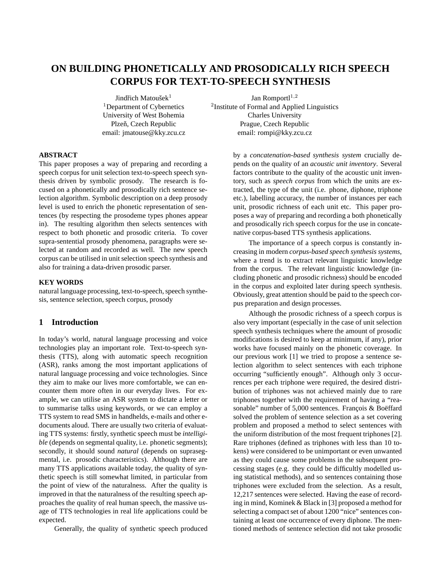# **ON BUILDING PHONETICALLY AND PROSODICALLY RICH SPEECH CORPUS FOR TEXT-TO-SPEECH SYNTHESIS**

Jindřich Matoušek $1$ <sup>1</sup>Department of Cybernetics University of West Bohemia Plzeň, Czech Republic email: jmatouse@kky.zcu.cz

Jan Romportl $^{1,2}$ 2 Institute of Formal and Applied Linguistics Charles University Prague, Czech Republic

email: rompi@kky.zcu.cz

#### **ABSTRACT**

This paper proposes a way of preparing and recording a speech corpus for unit selection text-to-speech speech synthesis driven by symbolic prosody. The research is focused on a phonetically and prosodically rich sentence selection algorithm. Symbolic description on a deep prosody level is used to enrich the phonetic representation of sentences (by respecting the prosodeme types phones appear in). The resulting algorithm then selects sentences with respect to both phonetic and prosodic criteria. To cover supra-sentential prosody phenomena, paragraphs were selected at random and recorded as well. The new speech corpus can be utilised in unit selection speech synthesis and also for training a data-driven prosodic parser.

#### **KEY WORDS**

natural language processing, text-to-speech, speech synthesis, sentence selection, speech corpus, prosody

## **1 Introduction**

In today's world, natural language processing and voice technologies play an important role. Text-to-speech synthesis (TTS), along with automatic speech recognition (ASR), ranks among the most important applications of natural language processing and voice technologies. Since they aim to make our lives more comfortable, we can encounter them more often in our everyday lives. For example, we can utilise an ASR system to dictate a letter or to summarise talks using keywords, or we can employ a TTS system to read SMS in handhelds, e-mails and other edocuments aloud. There are usually two criteria of evaluating TTS systems: firstly, synthetic speech must be *intelligible* (depends on segmental quality, i.e. phonetic segments); secondly, it should sound *natural* (depends on suprasegmental, i.e. prosodic characteristics). Although there are many TTS applications available today, the quality of synthetic speech is still somewhat limited, in particular from the point of view of the naturalness. After the quality is improved in that the naturalness of the resulting speech approaches the quality of real human speech, the massive usage of TTS technologies in real life applications could be expected.

Generally, the quality of synthetic speech produced

by a *concatenation-based synthesis system* crucially depends on the quality of an *acoustic unit inventory*. Several factors contribute to the quality of the acoustic unit inventory, such as *speech corpus* from which the units are extracted, the type of the unit (i.e. phone, diphone, triphone etc.), labelling accuracy, the number of instances per each unit, prosodic richness of each unit etc. This paper proposes a way of preparing and recording a both phonetically and prosodically rich speech corpus for the use in concatenative corpus-based TTS synthesis applications.

The importance of a speech corpus is constantly increasing in modern *corpus-based speech synthesis systems*, where a trend is to extract relevant linguistic knowledge from the corpus. The relevant linguistic knowledge (including phonetic and prosodic richness) should be encoded in the corpus and exploited later during speech synthesis. Obviously, great attention should be paid to the speech corpus preparation and design processes.

Although the prosodic richness of a speech corpus is also very important (especially in the case of unit selection speech synthesis techniques where the amount of prosodic modifications is desired to keep at minimum, if any), prior works have focused mainly on the phonetic coverage. In our previous work [1] we tried to propose a sentence selection algorithm to select sentences with each triphone occurring "sufficiently enough". Although only 3 occurrences per each triphone were required, the desired distribution of triphones was not achieved mainly due to rare triphones together with the requirement of having a "reasonable" number of 5,000 sentences. François & Boëffard solved the problem of sentence selection as a set covering problem and proposed a method to select sentences with the uniform distribution of the most frequent triphones [2]. Rare triphones (defined as triphones with less than 10 tokens) were considered to be unimportant or even unwanted as they could cause some problems in the subsequent processing stages (e.g. they could be difficultly modelled using statistical methods), and so sentences containing those triphones were excluded from the selection. As a result, 12,217 sentences were selected. Having the ease of recording in mind, Kominek & Black in [3] proposed a method for selecting a compact set of about 1200 "nice" sentences containing at least one occurrence of every diphone. The mentioned methods of sentence selection did not take prosodic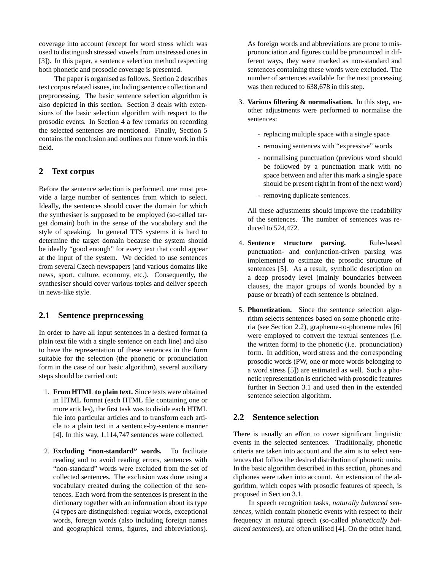coverage into account (except for word stress which was used to distinguish stressed vowels from unstressed ones in [3]). In this paper, a sentence selection method respecting both phonetic and prosodic coverage is presented.

The paper is organised as follows. Section 2 describes text corpus related issues, including sentence collection and preprocessing. The basic sentence selection algorithm is also depicted in this section. Section 3 deals with extensions of the basic selection algorithm with respect to the prosodic events. In Section 4 a few remarks on recording the selected sentences are mentioned. Finally, Section 5 contains the conclusion and outlines our future work in this field.

# **2 Text corpus**

Before the sentence selection is performed, one must provide a large number of sentences from which to select. Ideally, the sentences should cover the domain for which the synthesiser is supposed to be employed (so-called target domain) both in the sense of the vocabulary and the style of speaking. In general TTS systems it is hard to determine the target domain because the system should be ideally "good enough" for every text that could appear at the input of the system. We decided to use sentences from several Czech newspapers (and various domains like news, sport, culture, economy, etc.). Consequently, the synthesiser should cover various topics and deliver speech in news-like style.

# **2.1 Sentence preprocessing**

In order to have all input sentences in a desired format (a plain text file with a single sentence on each line) and also to have the representation of these sentences in the form suitable for the selection (the phonetic or pronunciation form in the case of our basic algorithm), several auxiliary steps should be carried out:

- 1. **From HTML to plain text.** Since texts were obtained in HTML format (each HTML file containing one or more articles), the first task was to divide each HTML file into particular articles and to transform each article to a plain text in a sentence-by-sentence manner [4]. In this way, 1,114,747 sentences were collected.
- 2. **Excluding "non-standard" words.** To facilitate reading and to avoid reading errors, sentences with "non-standard" words were excluded from the set of collected sentences. The exclusion was done using a vocabulary created during the collection of the sentences. Each word from the sentences is present in the dictionary together with an information about its type (4 types are distinguished: regular words, exceptional words, foreign words (also including foreign names and geographical terms, figures, and abbreviations).

As foreign words and abbreviations are prone to mispronunciation and figures could be pronounced in different ways, they were marked as non-standard and sentences containing these words were excluded. The number of sentences available for the next processing was then reduced to 638,678 in this step.

- 3. **Various filtering & normalisation.** In this step, another adjustments were performed to normalise the sentences:
	- replacing multiple space with a single space
	- removing sentences with "expressive" words
	- normalising punctuation (previous word should be followed by a punctuation mark with no space between and after this mark a single space should be present right in front of the next word)
	- removing duplicate sentences.

All these adjustments should improve the readability of the sentences. The number of sentences was reduced to 524,472.

- 4. **Sentence structure parsing.** Rule-based punctuation- and conjunction-driven parsing was implemented to estimate the prosodic structure of sentences [5]. As a result, symbolic description on a deep prosody level (mainly boundaries between clauses, the major groups of words bounded by a pause or breath) of each sentence is obtained.
- 5. **Phonetization.** Since the sentence selection algorithm selects sentences based on some phonetic criteria (see Section 2.2), grapheme-to-phoneme rules [6] were employed to convert the textual sentences (i.e. the written form) to the phonetic (i.e. pronunciation) form. In addition, word stress and the corresponding prosodic words (PW, one or more words belonging to a word stress [5]) are estimated as well. Such a phonetic representation is enriched with prosodic features further in Section 3.1 and used then in the extended sentence selection algorithm.

# **2.2 Sentence selection**

There is usually an effort to cover significant linguistic events in the selected sentences. Traditionally, phonetic criteria are taken into account and the aim is to select sentences that follow the desired distribution of phonetic units. In the basic algorithm described in this section, phones and diphones were taken into account. An extension of the algorithm, which copes with prosodic features of speech, is proposed in Section 3.1.

In speech recognition tasks, *naturally balanced sentences*, which contain phonetic events with respect to their frequency in natural speech (so-called *phonetically balanced sentences*), are often utilised [4]. On the other hand,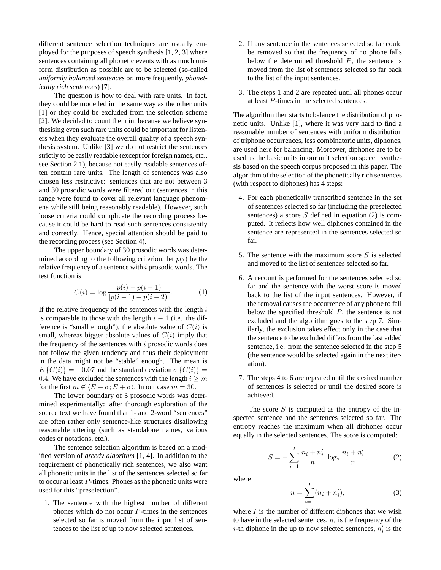different sentence selection techniques are usually employed for the purposes of speech synthesis [1, 2, 3] where sentences containing all phonetic events with as much uniform distribution as possible are to be selected (so-called *uniformly balanced sentences* or, more frequently, *phonetically rich sentences*) [7].

The question is how to deal with rare units. In fact, they could be modelled in the same way as the other units [1] or they could be excluded from the selection scheme [2]. We decided to count them in, because we believe synthesising even such rare units could be important for listeners when they evaluate the overall quality of a speech synthesis system. Unlike [3] we do not restrict the sentences strictly to be easily readable (except for foreign names, etc., see Section 2.1), because not easily readable sentences often contain rare units. The length of sentences was also chosen less restrictive: sentences that are not between 3 and 30 prosodic words were filtered out (sentences in this range were found to cover all relevant language phenomena while still being reasonably readable). However, such loose criteria could complicate the recording process because it could be hard to read such sentences consistently and correctly. Hence, special attention should be paid to the recording process (see Section 4).

The upper boundary of 30 prosodic words was determined according to the following criterion: let  $p(i)$  be the relative frequency of a sentence with i prosodic words. The test function is

$$
C(i) = \log \frac{|p(i) - p(i-1)|}{|p(i-1) - p(i-2)|}.
$$
 (1)

If the relative frequency of the sentences with the length  $i$ is comparable to those with the length  $i - 1$  (i.e. the difference is "small enough"), the absolute value of  $C(i)$  is small, whereas bigger absolute values of  $C(i)$  imply that the frequency of the sentences with  $i$  prosodic words does not follow the given tendency and thus their deployment in the data might not be "stable" enough. The mean is  $E\left\{C(i)\right\} = -0.07$  and the standard deviation  $\sigma\left\{C(i)\right\} =$ 0.4. We have excluded the sentences with the length  $i \geq m$ for the first  $m \notin \langle E - \sigma; E + \sigma \rangle$ . In our case  $m = 30$ .

The lower boundary of 3 prosodic words was determined experimentally: after thorough exploration of the source text we have found that 1- and 2-word "sentences" are often rather only sentence-like structures disallowing reasonable uttering (such as standalone names, various codes or notations, etc.).

The sentence selection algorithm is based on a modified version of *greedy algorithm* [1, 4]. In addition to the requirement of phonetically rich sentences, we also want all phonetic units in the list of the sentences selected so far to occur at least P-times. Phones as the phonetic units were used for this "preselection".

1. The sentence with the highest number of different phones which do not occur P-times in the sentences selected so far is moved from the input list of sentences to the list of up to now selected sentences.

- 2. If any sentence in the sentences selected so far could be removed so that the frequency of no phone falls below the determined threshold  $P$ , the sentence is moved from the list of sentences selected so far back to the list of the input sentences.
- 3. The steps 1 and 2 are repeated until all phones occur at least P-times in the selected sentences.

The algorithm then starts to balance the distribution of phonetic units. Unlike [1], where it was very hard to find a reasonable number of sentences with uniform distribution of triphone occurrences, less combinatoric units, diphones, are used here for balancing. Moreover, diphones are to be used as the basic units in our unit selection speech synthesis based on the speech corpus proposed in this paper. The algorithm of the selection of the phonetically rich sentences (with respect to diphones) has 4 steps:

- 4. For each phonetically transcribed sentence in the set of sentences selected so far (including the preselected sentences) a score  $S$  defined in equation (2) is computed. It reflects how well diphones contained in the sentence are represented in the sentences selected so far.
- 5. The sentence with the maximum score  $S$  is selected and moved to the list of sentences selected so far.
- 6. A recount is performed for the sentences selected so far and the sentence with the worst score is moved back to the list of the input sentences. However, if the removal causes the occurrence of any phone to fall below the specified threshold  $P$ , the sentence is not excluded and the algorithm goes to the step 7. Similarly, the exclusion takes effect only in the case that the sentence to be excluded differs from the last added sentence, i.e. from the sentence selected in the step 5 (the sentence would be selected again in the next iteration).
- 7. The steps 4 to 6 are repeated until the desired number of sentences is selected or until the desired score is achieved.

The score  $S$  is computed as the entropy of the inspected sentence and the sentences selected so far. The entropy reaches the maximum when all diphones occur equally in the selected sentences. The score is computed:

$$
S = -\sum_{i=1}^{I} \frac{n_i + n'_i}{n} \log_2 \frac{n_i + n'_i}{n},
$$
 (2)

where

$$
n = \sum_{i=1}^{I} (n_i + n'_i),
$$
 (3)

where  $I$  is the number of different diphones that we wish to have in the selected sentences,  $n_i$  is the frequency of the *i*-th diphone in the up to now selected sentences,  $n'_i$  is the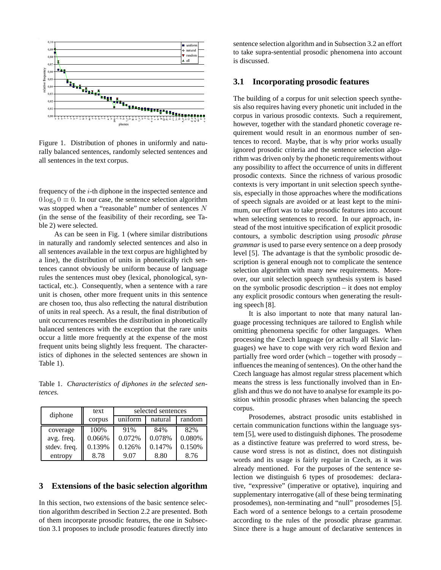

Figure 1. Distribution of phones in uniformly and naturally balanced sentences, randomly selected sentences and all sentences in the text corpus.

frequency of the i-th diphone in the inspected sentence and  $0 \log_2 0 \equiv 0$ . In our case, the sentence selection algorithm was stopped when a "reasonable" number of sentences N (in the sense of the feasibility of their recording, see Table 2) were selected.

As can be seen in Fig. 1 (where similar distributions in naturally and randomly selected sentences and also in all sentences available in the text corpus are highlighted by a line), the distribution of units in phonetically rich sentences cannot obviously be uniform because of language rules the sentences must obey (lexical, phonological, syntactical, etc.). Consequently, when a sentence with a rare unit is chosen, other more frequent units in this sentence are chosen too, thus also reflecting the natural distribution of units in real speech. As a result, the final distribution of unit occurrences resembles the distribution in phonetically balanced sentences with the exception that the rare units occur a little more frequently at the expense of the most frequent units being slightly less frequent. The characteristics of diphones in the selected sentences are shown in Table 1).

Table 1. *Characteristics of diphones in the selected sentences.*

| diphone      | text   | selected sentences |         |        |
|--------------|--------|--------------------|---------|--------|
|              | corpus | uniform            | natural | random |
| coverage     | 100%   | 91%                | 84%     | 82%    |
| avg. freq.   | 0.066% | 0.072%             | 0.078%  | 0.080% |
| stdev. freq. | 0.139% | 0.126%             | 0.147%  | 0.150% |
| entropy      | 8.78   | 9.07               | 8.80    | 8.76   |

#### **3 Extensions of the basic selection algorithm**

In this section, two extensions of the basic sentence selection algorithm described in Section 2.2 are presented. Both of them incorporate prosodic features, the one in Subsection 3.1 proposes to include prosodic features directly into

sentence selection algorithm and in Subsection 3.2 an effort to take supra-sentential prosodic phenomena into account is discussed.

#### **3.1 Incorporating prosodic features**

The building of a corpus for unit selection speech synthesis also requires having every phonetic unit included in the corpus in various prosodic contexts. Such a requirement, however, together with the standard phonetic coverage requirement would result in an enormous number of sentences to record. Maybe, that is why prior works usually ignored prosodic criteria and the sentence selection algorithm was driven only by the phonetic requirements without any possibility to affect the occurrence of units in different prosodic contexts. Since the richness of various prosodic contexts is very important in unit selection speech synthesis, especially in those approaches where the modifications of speech signals are avoided or at least kept to the minimum, our effort was to take prosodic features into account when selecting sentences to record. In our approach, instead of the most intuitive specification of explicit prosodic contours, a symbolic description using *prosodic phrase grammar* is used to parse every sentence on a deep prosody level [5]. The advantage is that the symbolic prosodic description is general enough not to complicate the sentence selection algorithm with many new requirements. Moreover, our unit selection speech synthesis system is based on the symbolic prosodic description – it does not employ any explicit prosodic contours when generating the resulting speech [8].

It is also important to note that many natural language processing techniques are tailored to English while omitting phenomena specific for other languages. When processing the Czech language (or actually all Slavic languages) we have to cope with very rich word flexion and partially free word order (which – together with prosody – influences the meaning of sentences). On the other hand the Czech language has almost regular stress placement which means the stress is less functionally involved than in English and thus we do not have to analyse for example its position within prosodic phrases when balancing the speech corpus.

Prosodemes, abstract prosodic units established in certain communication functions within the language system [5], were used to distinguish diphones. The prosodeme as a distinctive feature was preferred to word stress, because word stress is not as distinct, does not distinguish words and its usage is fairly regular in Czech, as it was already mentioned. For the purposes of the sentence selection we distinguish 6 types of prosodemes: declarative, "expressive" (imperative or optative), inquiring and supplementary interrogative (all of these being terminating prosodemes), non-terminating and "null" prosodemes [5]. Each word of a sentence belongs to a certain prosodeme according to the rules of the prosodic phrase grammar. Since there is a huge amount of declarative sentences in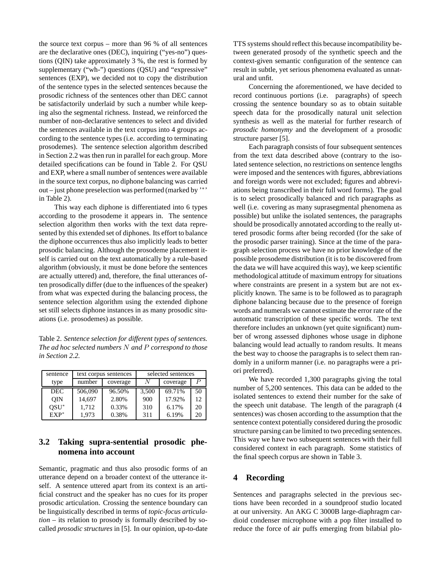the source text corpus – more than 96 % of all sentences are the declarative ones (DEC), inquiring ("yes-no") questions (QIN) take approximately 3 %, the rest is formed by supplementary ("wh-") questions (QSU) and "expressive" sentences (EXP), we decided not to copy the distribution of the sentence types in the selected sentences because the prosodic richness of the sentences other than DEC cannot be satisfactorily underlaid by such a number while keeping also the segmental richness. Instead, we reinforced the number of non-declarative sentences to select and divided the sentences available in the text corpus into 4 groups according to the sentence types (i.e. according to terminating prosodemes). The sentence selection algorithm described in Section 2.2 was then run in parallel for each group. More detailed specifications can be found in Table 2. For QSU and EXP, where a small number of sentences were available in the source text corpus, no diphone balancing was carried out – just phone preselection was performed (marked by '<sup>∗</sup> ' in Table 2).

This way each diphone is differentiated into 6 types according to the prosodeme it appears in. The sentence selection algorithm then works with the text data represented by this extended set of diphones. Its effort to balance the diphone occurrences thus also implicitly leads to better prosodic balancing. Although the prosodeme placement itself is carried out on the text automatically by a rule-based algorithm (obviously, it must be done before the sentences are actually uttered) and, therefore, the final utterances often prosodically differ (due to the influences of the speaker) from what was expected during the balancing process, the sentence selection algorithm using the extended diphone set still selects diphone instances in as many prosodic situations (i.e. prosodemes) as possible.

Table 2. *Sentence selection for different types of sentences. The ad hoc selected numbers* N *and* P *correspond to those in Section 2.2.*

| sentence   | text corpus sentences |          | selected sentences |          |    |
|------------|-----------------------|----------|--------------------|----------|----|
| type       | number                | coverage | N                  | coverage |    |
| <b>DEC</b> | 506,090               | 96.50%   | 3,500              | 69.71%   | 50 |
| <b>OIN</b> | 14,697                | 2.80%    | 900                | 17.92%   | 12 |
| $OSU^*$    | 1.712                 | 0.33%    | 310                | 6.17%    | 20 |
| $EXP^*$    | 1,973                 | 0.38%    | 311                | 6.19%    | 20 |

## **3.2 Taking supra-sentential prosodic phenomena into account**

Semantic, pragmatic and thus also prosodic forms of an utterance depend on a broader context of the utterance itself. A sentence uttered apart from its context is an artificial construct and the speaker has no cues for its proper prosodic articulation. Crossing the sentence boundary can be linguistically described in terms of *topic-focus articulation* – its relation to prosody is formally described by socalled *prosodic structures* in [5]. In our opinion, up-to-date

TTS systems should reflect this because incompatibility between generated prosody of the synthetic speech and the context-given semantic configuration of the sentence can result in subtle, yet serious phenomena evaluated as unnatural and unfit.

Concerning the aforementioned, we have decided to record continuous portions (i.e. paragraphs) of speech crossing the sentence boundary so as to obtain suitable speech data for the prosodically natural unit selection synthesis as well as the material for further research of *prosodic homonymy* and the development of a prosodic structure parser [5].

Each paragraph consists of four subsequent sentences from the text data described above (contrary to the isolated sentence selection, no restrictions on sentence lengths were imposed and the sentences with figures, abbreviations and foreign words were not excluded; figures and abbreviations being transcribed in their full word forms). The goal is to select prosodically balanced and rich paragraphs as well (i.e. covering as many suprasegmental phenomena as possible) but unlike the isolated sentences, the paragraphs should be prosodically annotated according to the really uttered prosodic forms after being recorded (for the sake of the prosodic parser training). Since at the time of the paragraph selection process we have no prior knowledge of the possible prosodeme distribution (it is to be discovered from the data we will have acquired this way), we keep scientific methodological attitude of maximum entropy for situations where constraints are present in a system but are not explicitly known. The same is to be followed as to paragraph diphone balancing because due to the presence of foreign words and numerals we cannot estimate the error rate of the automatic transcription of these specific words. The text therefore includes an unknown (yet quite significant) number of wrong assessed diphones whose usage in diphone balancing would lead actually to random results. It means the best way to choose the paragraphs is to select them randomly in a uniform manner (i.e. no paragraphs were a priori preferred).

We have recorded 1,300 paragraphs giving the total number of 5,200 sentences. This data can be added to the isolated sentences to extend their number for the sake of the speech unit database. The length of the paragraph (4 sentences) was chosen according to the assumption that the sentence context potentially considered during the prosodic structure parsing can be limited to two preceding sentences. This way we have two subsequent sentences with their full considered context in each paragraph. Some statistics of the final speech corpus are shown in Table 3.

# **4 Recording**

Sentences and paragraphs selected in the previous sections have been recorded in a soundproof studio located at our university. An AKG C 3000B large-diaphragm cardioid condenser microphone with a pop filter installed to reduce the force of air puffs emerging from bilabial plo-